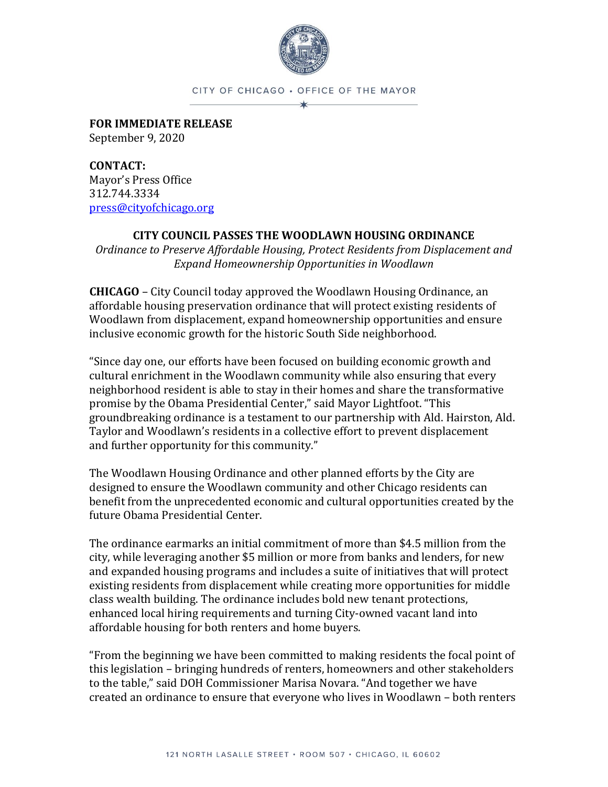

CITY OF CHICAGO . OFFICE OF THE MAYOR

**FOR IMMEDIATE RELEASE** September 9, 2020

**CONTACT:** Mayor's Press Office 312.744.3334 [press@cityofchicago.org](mailto:press@cityofchicago.org)

## **CITY COUNCIL PASSES THE WOODLAWN HOUSING ORDINANCE**

*Ordinance to Preserve Affordable Housing, Protect Residents from Displacement and Expand Homeownership Opportunities in Woodlawn*

**CHICAGO** – City Council today approved the Woodlawn Housing Ordinance, an affordable housing preservation ordinance that will protect existing residents of Woodlawn from displacement, expand homeownership opportunities and ensure inclusive economic growth for the historic South Side neighborhood.

"Since day one, our efforts have been focused on building economic growth and cultural enrichment in the Woodlawn community while also ensuring that every neighborhood resident is able to stay in their homes and share the transformative promise by the Obama Presidential Center," said Mayor Lightfoot. "This groundbreaking ordinance is a testament to our partnership with Ald. Hairston, Ald. Taylor and Woodlawn's residents in a collective effort to prevent displacement and further opportunity for this community."

The Woodlawn Housing Ordinance and other planned efforts by the City are designed to ensure the Woodlawn community and other Chicago residents can benefit from the unprecedented economic and cultural opportunities created by the future Obama Presidential Center.

The ordinance earmarks an initial commitment of more than \$4.5 million from the city, while leveraging another \$5 million or more from banks and lenders, for new and expanded housing programs and includes a suite of initiatives that will protect existing residents from displacement while creating more opportunities for middle class wealth building. The ordinance includes bold new tenant protections, enhanced local hiring requirements and turning City-owned vacant land into affordable housing for both renters and home buyers.

"From the beginning we have been committed to making residents the focal point of this legislation – bringing hundreds of renters, homeowners and other stakeholders to the table," said DOH Commissioner Marisa Novara. "And together we have created an ordinance to ensure that everyone who lives in Woodlawn – both renters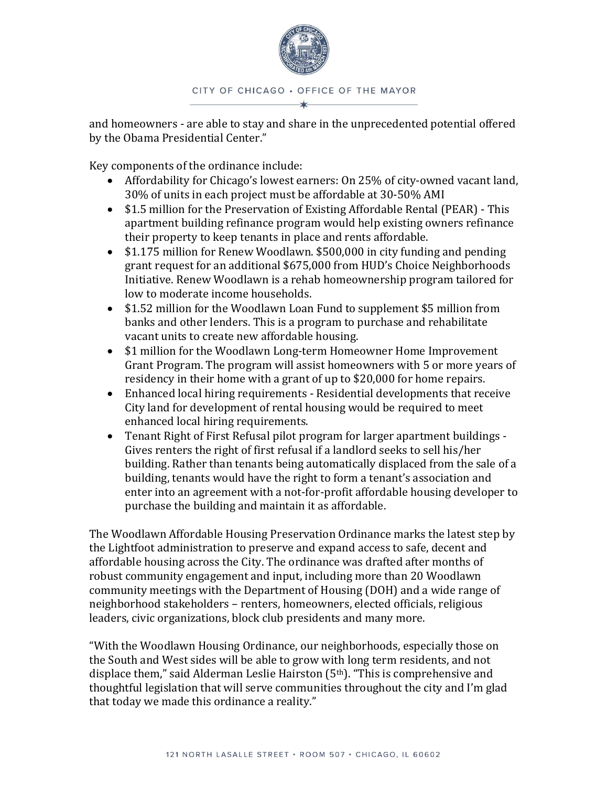

## CITY OF CHICAGO . OFFICE OF THE MAYOR

and homeowners - are able to stay and share in the unprecedented potential offered by the Obama Presidential Center."

Key components of the ordinance include:

- Affordability for Chicago's lowest earners: On 25% of city-owned vacant land, 30% of units in each project must be affordable at 30-50% AMI
- \$1.5 million for the Preservation of Existing Affordable Rental (PEAR) This apartment building refinance program would help existing owners refinance their property to keep tenants in place and rents affordable.
- \$1.175 million for Renew Woodlawn. \$500,000 in city funding and pending grant request for an additional \$675,000 from HUD's Choice Neighborhoods Initiative. Renew Woodlawn is a rehab homeownership program tailored for low to moderate income households.
- \$1.52 million for the Woodlawn Loan Fund to supplement \$5 million from banks and other lenders. This is a program to purchase and rehabilitate vacant units to create new affordable housing.
- \$1 million for the Woodlawn Long-term Homeowner Home Improvement Grant Program. The program will assist homeowners with 5 or more years of residency in their home with a grant of up to \$20,000 for home repairs.
- Enhanced local hiring requirements Residential developments that receive City land for development of rental housing would be required to meet enhanced local hiring requirements.
- Tenant Right of First Refusal pilot program for larger apartment buildings Gives renters the right of first refusal if a landlord seeks to sell his/her building. Rather than tenants being automatically displaced from the sale of a building, tenants would have the right to form a tenant's association and enter into an agreement with a not-for-profit affordable housing developer to purchase the building and maintain it as affordable.

The Woodlawn Affordable Housing Preservation Ordinance marks the latest step by the Lightfoot administration to preserve and expand access to safe, decent and affordable housing across the City. The ordinance was drafted after months of robust community engagement and input, including more than 20 Woodlawn community meetings with the Department of Housing (DOH) and a wide range of neighborhood stakeholders – renters, homeowners, elected officials, religious leaders, civic organizations, block club presidents and many more.

"With the Woodlawn Housing Ordinance, our neighborhoods, especially those on the South and West sides will be able to grow with long term residents, and not displace them," said Alderman Leslie Hairston (5<sup>th</sup>). "This is comprehensive and thoughtful legislation that will serve communities throughout the city and I'm glad that today we made this ordinance a reality."